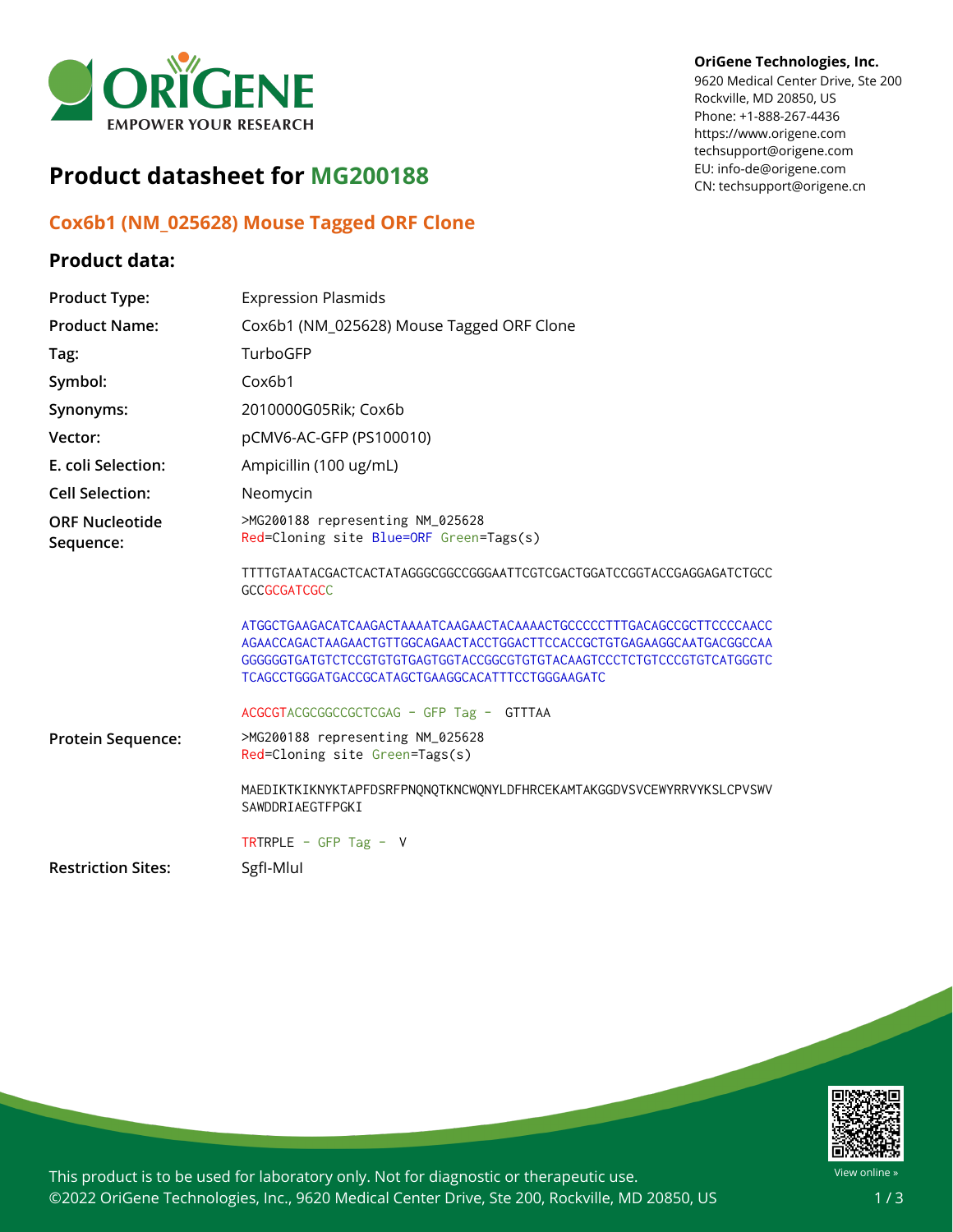

# **Product datasheet for MG200188**

## **Cox6b1 (NM\_025628) Mouse Tagged ORF Clone**

## **Product data:**

### **OriGene Technologies, Inc.**

9620 Medical Center Drive, Ste 200 Rockville, MD 20850, US Phone: +1-888-267-4436 https://www.origene.com techsupport@origene.com EU: info-de@origene.com CN: techsupport@origene.cn

| <b>Product Type:</b>               | <b>Expression Plasmids</b>                                                                                                                                                                                                                                                     |
|------------------------------------|--------------------------------------------------------------------------------------------------------------------------------------------------------------------------------------------------------------------------------------------------------------------------------|
| <b>Product Name:</b>               | Cox6b1 (NM_025628) Mouse Tagged ORF Clone                                                                                                                                                                                                                                      |
| Tag:                               | TurboGFP                                                                                                                                                                                                                                                                       |
| Symbol:                            | Cox6b1                                                                                                                                                                                                                                                                         |
| Synonyms:                          | 2010000G05Rik; Cox6b                                                                                                                                                                                                                                                           |
| Vector:                            | pCMV6-AC-GFP (PS100010)                                                                                                                                                                                                                                                        |
| E. coli Selection:                 | Ampicillin (100 ug/mL)                                                                                                                                                                                                                                                         |
| <b>Cell Selection:</b>             | Neomycin                                                                                                                                                                                                                                                                       |
| <b>ORF Nucleotide</b><br>Sequence: | >MG200188 representing NM_025628<br>Red=Cloning site Blue=ORF Green=Tags(s)                                                                                                                                                                                                    |
|                                    | TTTTGTAATACGACTCACTATAGGGCGGCCGGGAATTCGTCGACTGGATCCGGTACCGAGGAGATCTGCC<br><b>GCCGCGATCGCC</b>                                                                                                                                                                                  |
|                                    | ATGGCTGAAGACATCAAGACTAAAATCAAGAACTACAAAACTGCCCCCTTTGACAGCCGCTTCCCCAACC<br>AGAACCAGACTAAGAACTGTTGGCAGAACTACCTGGACTTCCACCGCTGTGAGAAGGCAATGACGGCCAA<br>GGGGGGTGATGTCTCCGTGTGTGAGTGGTACCGGCGTGTGTACAAGTCCCTCTGTCCCGTGTCATGGGTC<br>TCAGCCTGGGATGACCGCATAGCTGAAGGCACATTTCCTGGGAAGATC |
|                                    | ACGCGTACGCGGCCGCTCGAG - GFP Tag - GTTTAA                                                                                                                                                                                                                                       |
| Protein Sequence:                  | >MG200188 representing NM_025628<br>Red=Cloning site Green=Tags(s)                                                                                                                                                                                                             |
|                                    | MAEDIKTKIKNYKTAPFDSRFPNONOTKNCWONYLDFHRCEKAMTAKGGDVSVCEWYRRVYKSLCPVSWV<br>SAWDDRIAEGTFPGKI                                                                                                                                                                                     |
|                                    | TRTRPLE - GFP Tag - V                                                                                                                                                                                                                                                          |
| <b>Restriction Sites:</b>          | SgfI-Mlul                                                                                                                                                                                                                                                                      |



This product is to be used for laboratory only. Not for diagnostic or therapeutic use. ©2022 OriGene Technologies, Inc., 9620 Medical Center Drive, Ste 200, Rockville, MD 20850, US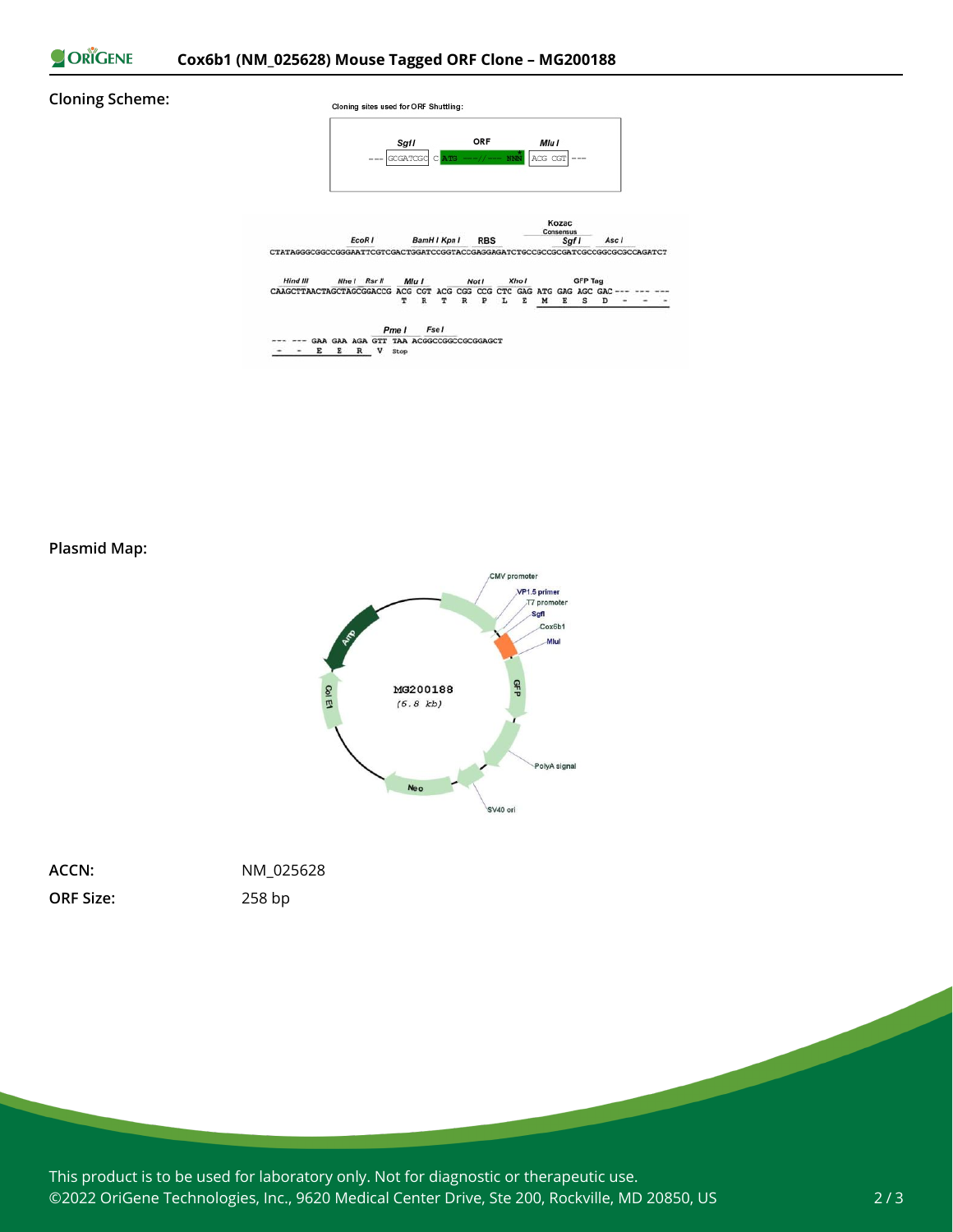ORIGENE

### **Cloning Scheme:**





This product is to be used for laboratory only. Not for diagnostic or therapeutic use. ©2022 OriGene Technologies, Inc., 9620 Medical Center Drive, Ste 200, Rockville, MD 20850, US